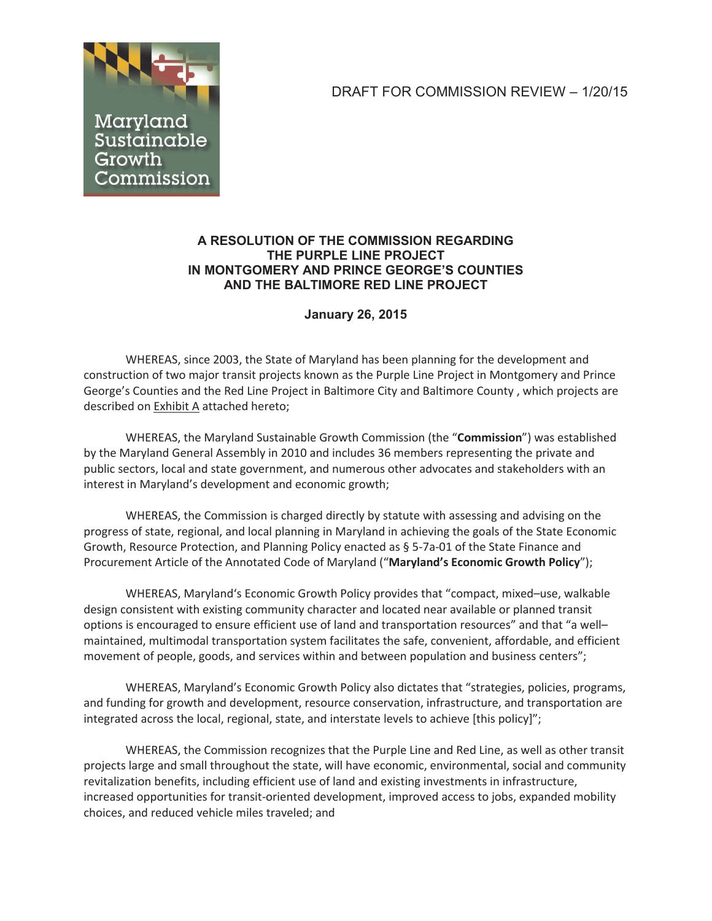# DRAFT FOR COMMISSION REVIEW – 1/20/15



# **A RESOLUTION OF THE COMMISSION REGARDING THE PURPLE LINE PROJECT IN MONTGOMERY AND PRINCE GEORGE'S COUNTIES AND THE BALTIMORE RED LINE PROJECT**

# **January 26, 2015**

WHEREAS, since 2003, the State of Maryland has been planning for the development and construction of two major transit projects known as the Purple Line Project in Montgomery and Prince George's Counties and the Red Line Project in Baltimore City and Baltimore County , which projects are described on Exhibit A attached hereto;

WHEREAS, the Maryland Sustainable Growth Commission (the "**Commission**") was established by the Maryland General Assembly in 2010 and includes 36 members representing the private and public sectors, local and state government, and numerous other advocates and stakeholders with an interest in Maryland's development and economic growth;

WHEREAS, the Commission is charged directly by statute with assessing and advising on the progress of state, regional, and local planning in Maryland in achieving the goals of the State Economic Growth, Resource Protection, and Planning Policy enacted as § 5-7a-01 of the State Finance and Procurement Article of the Annotated Code of Maryland ("**Maryland's Economic Growth Policy**");

WHEREAS, Maryland's Economic Growth Policy provides that "compact, mixed–use, walkable design consistent with existing community character and located near available or planned transit options is encouraged to ensure efficient use of land and transportation resources" and that "a well– maintained, multimodal transportation system facilitates the safe, convenient, affordable, and efficient movement of people, goods, and services within and between population and business centers";

WHEREAS, Maryland's Economic Growth Policy also dictates that "strategies, policies, programs, and funding for growth and development, resource conservation, infrastructure, and transportation are integrated across the local, regional, state, and interstate levels to achieve [this policy]";

WHEREAS, the Commission recognizes that the Purple Line and Red Line, as well as other transit projects large and small throughout the state, will have economic, environmental, social and community revitalization benefits, including efficient use of land and existing investments in infrastructure, increased opportunities for transit-oriented development, improved access to jobs, expanded mobility choices, and reduced vehicle miles traveled; and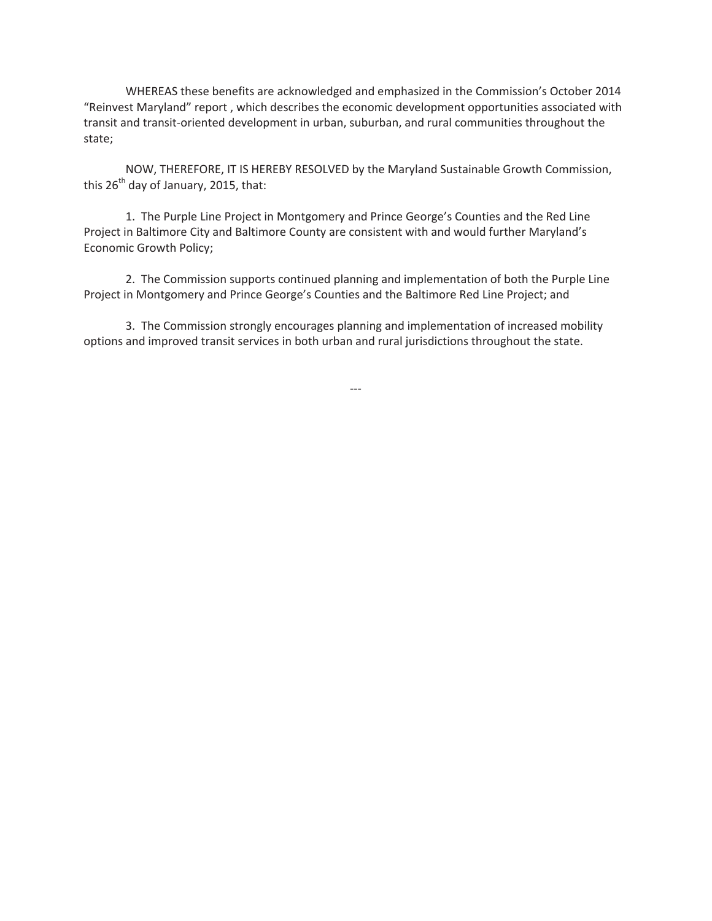WHEREAS these benefits are acknowledged and emphasized in the Commission's October 2014 "Reinvest Maryland" report , which describes the economic development opportunities associated with transit and transit-oriented development in urban, suburban, and rural communities throughout the state;

NOW, THEREFORE, IT IS HEREBY RESOLVED by the Maryland Sustainable Growth Commission, this  $26^{th}$  day of January, 2015, that:

1. The Purple Line Project in Montgomery and Prince George's Counties and the Red Line Project in Baltimore City and Baltimore County are consistent with and would further Maryland's Economic Growth Policy;

2. The Commission supports continued planning and implementation of both the Purple Line Project in Montgomery and Prince George's Counties and the Baltimore Red Line Project; and

3. The Commission strongly encourages planning and implementation of increased mobility options and improved transit services in both urban and rural jurisdictions throughout the state.

---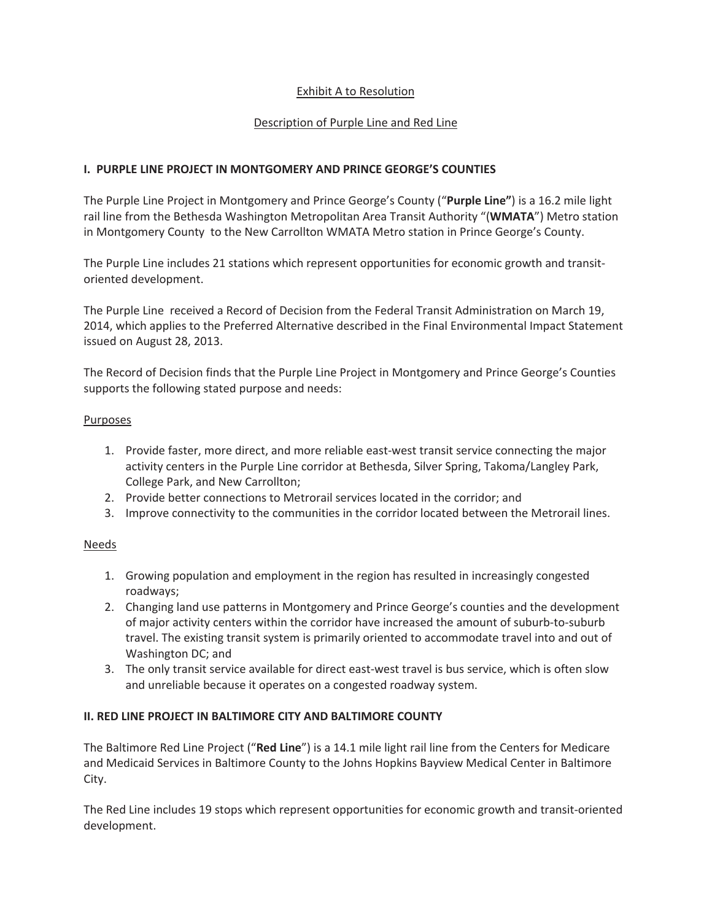## Exhibit A to Resolution

## Description of Purple Line and Red Line

## **I. PURPLE LINE PROJECT IN MONTGOMERY AND PRINCE GEORGE'S COUNTIES**

The Purple Line Project in Montgomery and Prince George's County ("**Purple Line"**) is a 16.2 mile light rail line from the Bethesda Washington Metropolitan Area Transit Authority "(**WMATA**") Metro station in Montgomery County to the New Carrollton WMATA Metro station in Prince George's County.

The Purple Line includes 21 stations which represent opportunities for economic growth and transitoriented development.

The Purple Line received a Record of Decision from the Federal Transit Administration on March 19, 2014, which applies to the Preferred Alternative described in the Final Environmental Impact Statement issued on August 28, 2013.

The Record of Decision finds that the Purple Line Project in Montgomery and Prince George's Counties supports the following stated purpose and needs:

#### Purposes

- 1. Provide faster, more direct, and more reliable east-west transit service connecting the major activity centers in the Purple Line corridor at Bethesda, Silver Spring, Takoma/Langley Park, College Park, and New Carrollton;
- 2. Provide better connections to Metrorail services located in the corridor; and
- 3. Improve connectivity to the communities in the corridor located between the Metrorail lines.

### Needs

- 1. Growing population and employment in the region has resulted in increasingly congested roadways;
- 2. Changing land use patterns in Montgomery and Prince George's counties and the development of major activity centers within the corridor have increased the amount of suburb-to-suburb travel. The existing transit system is primarily oriented to accommodate travel into and out of Washington DC; and
- 3. The only transit service available for direct east-west travel is bus service, which is often slow and unreliable because it operates on a congested roadway system.

### **II. RED LINE PROJECT IN BALTIMORE CITY AND BALTIMORE COUNTY**

The Baltimore Red Line Project ("**Red Line**") is a 14.1 mile light rail line from the Centers for Medicare and Medicaid Services in Baltimore County to the Johns Hopkins Bayview Medical Center in Baltimore City.

The Red Line includes 19 stops which represent opportunities for economic growth and transit-oriented development.